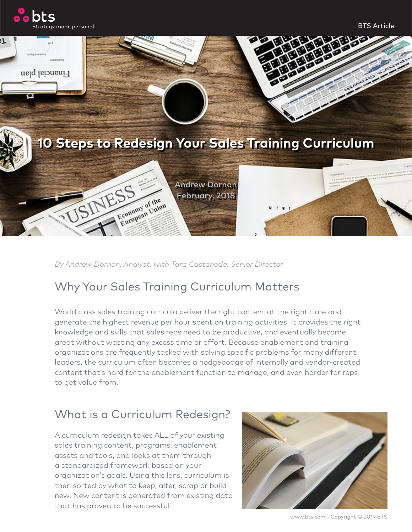

BTS Article



*By Andrew Dornon, Analyst, with Tara Castaneda, Senior Director*

## Why Your Sales Training Curriculum Matters

World class sales training curricula deliver the right content at the right time and generate the highest revenue per hour spent on training activities. It provides the right knowledge and skills that sales reps need to be productive, and eventually become great without wasting any excess time or effort. Because enablement and training organizations are frequently tasked with solving specific problems for many different leaders, the curriculum often becomes a hodgepodge of internally and vendor-created content that's hard for the enablement function to manage, and even harder for reps to get value from.

# What is a Curriculum Redesign?

A curriculum redesign takes ALL of your existing sales training content, programs, enablement assets and tools, and looks at them through a standardized framework based on your organization's goals. Using this lens, curriculum is then sorted by what to keep, alter, scrap or build new. New content is generated from existing data that has proven to be successful.



[www.bts.com](http://www.bts.com) • Copyright © 2019 BTS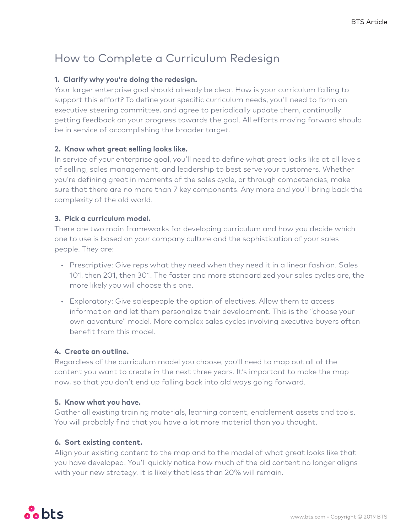## How to Complete a Curriculum Redesign

## **1. Clarify why you're doing the redesign.**

Your larger enterprise goal should already be clear. How is your curriculum failing to support this effort? To define your specific curriculum needs, you'll need to form an executive steering committee, and agree to periodically update them, continually getting feedback on your progress towards the goal. All efforts moving forward should be in service of accomplishing the broader target.

### **2. Know what great selling looks like.**

In service of your enterprise goal, you'll need to define what great looks like at all levels of selling, sales management, and leadership to best serve your customers. Whether you're defining great in moments of the sales cycle, or through competencies, make sure that there are no more than 7 key components. Any more and you'll bring back the complexity of the old world.

## **3. Pick a curriculum model.**

There are two main frameworks for developing curriculum and how you decide which one to use is based on your company culture and the sophistication of your sales people. They are:

- Prescriptive: Give reps what they need when they need it in a linear fashion. Sales 101, then 201, then 301. The faster and more standardized your sales cycles are, the more likely you will choose this one.
- Exploratory: Give salespeople the option of electives. Allow them to access information and let them personalize their development. This is the "choose your own adventure" model. More complex sales cycles involving executive buyers often benefit from this model.

#### **4. Create an outline.**

Regardless of the curriculum model you choose, you'll need to map out all of the content you want to create in the next three years. It's important to make the map now, so that you don't end up falling back into old ways going forward.

#### **5. Know what you have.**

Gather all existing training materials, learning content, enablement assets and tools. You will probably find that you have a lot more material than you thought.

## **6. Sort existing content.**

Align your existing content to the map and to the model of what great looks like that you have developed. You'll quickly notice how much of the old content no longer aligns with your new strategy. It is likely that less than 20% will remain.